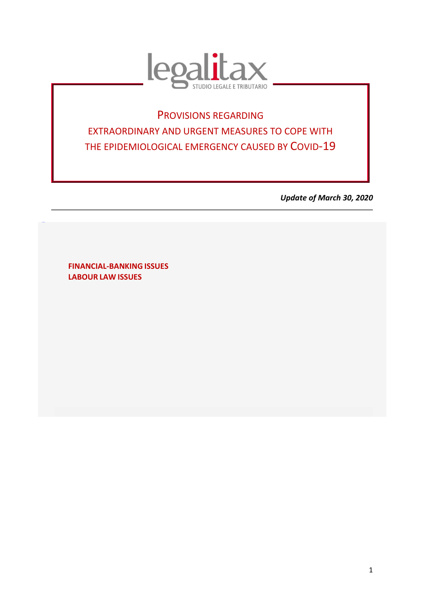

# PROVISIONS REGARDING EXTRAORDINARY AND URGENT MEASURES TO COPE WITH THE EPIDEMIOLOGICAL EMERGENCY CAUSED BY COVID-19

*Update of March 30, 2020* 

**FINANCIAL-BANKING ISSUES LABOUR LAW ISSUES** 

TORNAS **U**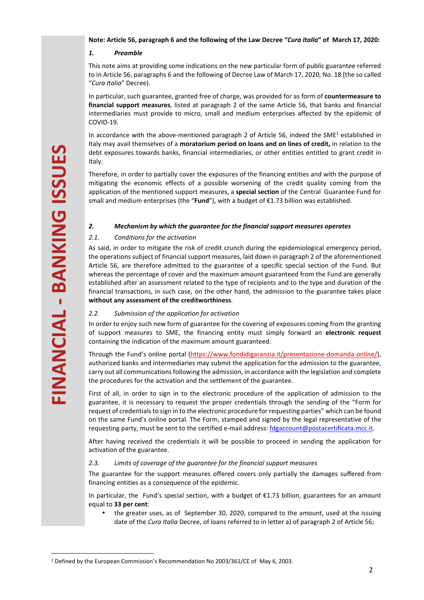#### **Note: Article 56, paragraph 6 and the following of the Law Decree "***Cura Italia***" of March 17, 2020:**

# *1. Preamble*

This note aims at providing some indications on the new particular form of public guarantee referred to in Article 56, paragraphs 6 and the following of Decree Law of March 17, 2020, No. 18 (the so called "*Cura Italia*" Decree).

In particular, such guarantee, granted free of charge, was provided for as form of **countermeasure to financial support measures**, listed at paragraph 2 of the same Article 56, that banks and financial intermediaries must provide to micro, small and medium enterprises affected by the epidemic of COVID-19.

In accordance with the above-mentioned paragraph 2 of Article 56, indeed the SME<sup>1</sup> established in Italy may avail themselves of a **moratorium period on loans and on lines of credit,** in relation to the debt exposures towards banks, financial intermediaries, or other entities entitled to grant credit in Italy.

Therefore, in order to partially cover the exposures of the financing entities and with the purpose of mitigating the economic effects of a possible worsening of the credit quality coming from the application of the mentioned support measures, a **special section** of the Central Guarantee Fund for small and medium enterprises (the "**Fund**"), with a budget of €1.73 billion was established.

## *2. Mechanism by which the guarantee for the financial support measures operates*

# *2.1. Conditions for the activation*

**EVALUAT THE STATE AND THE STATE AND THE STATE AND THE STATE AND THE STATE IN THE STATE IN THE STATE IN THE STATE AND THE STATE IN THE STATE AND THE STATE AND THE STATE AND THE STATE AND THE STATE IN THE STATE OF MANCHING** As said, in order to mitigate the risk of credit crunch during the epidemiological emergency period, the operations subject of financial support measures, laid down in paragraph 2 of the aforementioned Article 56, are therefore admitted to the guarantee of a specific special section of the Fund. But whereas the percentage of cover and the maximum amount guaranteed from the Fund are generally established after an assessment related to the type of recipients and to the type and duration of the financial transactions, in such case, on the other hand, the admission to the guarantee takes place **without any assessment of the creditworthiness**.

# *2.2. Submission of the application for activation*

In order to enjoy such new form of guarantee for the covering of exposures coming from the granting of support measures to SME, the financing entity must simply forward an **electronic request**  containing the indication of the maximum amount guaranteed.

Through the Fund's online portal (https://www.fondidigaranzia.it/presentazione-domanda-online/), authorized banks and intermediaries may submit the application for the admission to the guarantee, carry out all communications following the admission, in accordance with the legislation and complete the procedures for the activation and the settlement of the guarantee.

First of all, in order to sign in to the electronic procedure of the application of admission to the guarantee, it is necessary to request the proper credentials through the sending of the "Form for request of credentials to sign in to the electronic procedure for requesting parties" which can be found on the same Fund's online portal. The Form, stamped and signed by the legal representative of the requesting party, must be sent to the certified e-mail address: fdgaccount@postacertificata.mcc.it.

After having received the credentials it will be possible to proceed in sending the application for activation of the guarantee.

# *2.3. Limits of coverage of the guarantee for the financial support measures*

The guarantee for the support measures offered covers only partially the damages suffered from financing entities as a consequence of the epidemic.

In particular, the Fund's special section, with a budget of €1.73 billion, guarantees for an amount equal to **33 per cent**:

• the greater uses, as of September 30, 2020, compared to the amount, used at the issuing date of the *Cura Italia* Decree, of loans referred to in letter a) of paragraph 2 of Article 56;

<sup>&</sup>lt;sup>1</sup> Defined by the European Commission's Recommendation No 2003/361/CE of May 6, 2003.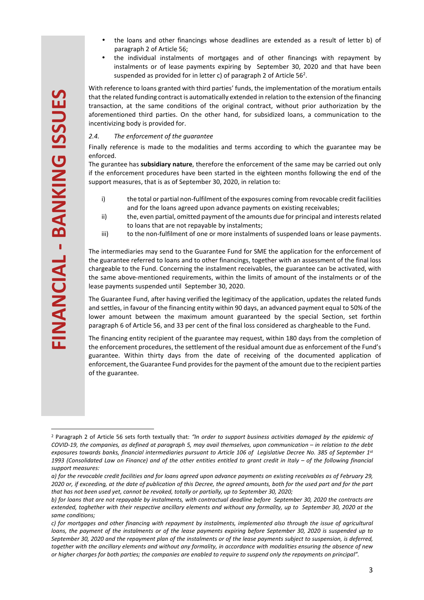- the loans and other financings whose deadlines are extended as a result of letter b) of paragraph 2 of Article 56;
- the individual instalments of mortgages and of other financings with repayment by instalments or of lease payments expiring by September 30, 2020 and that have been suspended as provided for in letter c) of paragraph 2 of Article  $56<sup>2</sup>$ .

With reference to loans granted with third parties' funds, the implementation of the moratium entails that the related funding contract is automatically extended in relation to the extension of the financing transaction, at the same conditions of the original contract, without prior authorization by the aforementioned third parties. On the other hand, for subsidized loans, a communication to the incentivizing body is provided for.

#### *2.4. The enforcement of the guarantee*

Finally reference is made to the modalities and terms according to which the guarantee may be enforced.

The gurantee has **subsidiary nature**, therefore the enforcement of the same may be carried out only if the enforcement procedures have been started in the eighteen months following the end of the support measures, that is as of September 30, 2020, in relation to:

- i) the total or partial non-fulfilment of the exposures coming from revocable credit facilities and for the loans agreed upon advance payments on existing receivables;
- ii) the, even partial, omitted payment of the amounts due for principal and interests related to loans that are not repayable by instalments;
- iii) to the non-fulfilment of one or more instalments of suspended loans or lease payments.

The intermediaries may send to the Guarantee Fund for SME the application for the enforcement of the guarantee referred to loans and to other financings, together with an assessment of the final loss chargeable to the Fund. Concerning the instalment receivables, the guarantee can be activated, with the same above-mentioned requirements, within the limits of amount of the instalments or of the lease payments suspended until September 30, 2020.

The Guarantee Fund, after having verified the legitimacy of the application, updates the related funds and settles, in favour of the financing entity within 90 days, an advanced payment equal to 50% of the lower amount between the maximum amount guaranteed by the special Section, set forthin paragraph 6 of Article 56, and 33 per cent of the final loss considered as chargheable to the Fund.

The financing entity recipient of the guarantee may request, within 180 days from the completion of the enforcement procedures, the settlement of the residual amount due as enforcement of the Fund's guarantee. Within thirty days from the date of receiving of the documented application of enforcement, the Guarantee Fund provides for the payment of the amount due to the recipient parties of the guarantee.

<sup>&</sup>lt;sup>2</sup> Paragraph 2 of Article 56 sets forth textually that: "In order to support business activities damaged by the epidemic of *COVID-19, the companies, as defined at paragraph 5, may avail themselves, upon communication – in relation to the debt exposures towards banks, financial intermediaries pursuant to Article 106 of Legislative Decree No. 385 of September 1st 1993 (Consolidated Law on Finance) and of the other entities entitled to grant credit in Italy – of the following financial support measures:*  **OF the relations controllation are enabled to require the companies are enable to require the companies are enable to require the companies are enable to require to the companies are the relations of the companies are ent** 

*a) for the revocable credit facilities and for loans agreed upon advance payments on existing receivables as of February 29, 2020 or, if exceeding, at the date of publication of this Decree, the agreed amounts, both for the used part and for the part that has not been used yet, cannot be revoked, totally or partially, up to September 30, 2020;* 

*b) for loans that are not repayable by instalments, with contractual deadline before September 30, 2020 the contracts are extended, toghether with their respective ancillary elements and without any formality, up to September 30, 2020 at the same conditions;* 

*c) for mortgages and other financing with repayment by instalments, implemented also through the issue of agricultural loans, the payment of the instalments or of the lease payments expiring before September 30, 2020 is suspended up to September 30, 2020 and the repayment plan of the instalments or of the lease payments subject to suspension, is deferred, together with the ancillary elements and without any formality, in accordance with modalities ensuring the absence of new*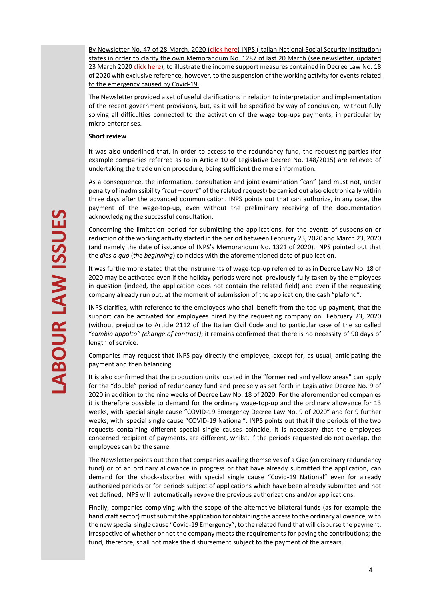By Newsletter No. 47 of 28 March, 2020 (click here) INPS (Italian National Social Security Institution) states in order to clarify the own Memorandum No. 1287 of last 20 March (see newsletter, updated 23 March 2020 click here), to illustrate the income support measures contained in Decree Law No. 18 of 2020 with exclusive reference, however, to the suspension of the working activity for events related to the emergency caused by Covid-19.

The Newsletter provided a set of useful clarifications in relation to interpretation and implementation of the recent government provisions, but, as it will be specified by way of conclusion, without fully solving all difficulties connected to the activation of the wage top-ups payments, in particular by micro-enterprises.

#### **Short review**

It was also underlined that, in order to access to the redundancy fund, the requesting parties (for example companies referred as to in Article 10 of Legislative Decree No. 148/2015) are relieved of undertaking the trade union procedure, being sufficient the mere information.

As a consequence, the information, consultation and joint examination "can" (and must not, under penalty of inadmissibility *"tout – court"* of the related request) be carried out also electronically within three days after the advanced communication. INPS points out that can authorize, in any case, the payment of the wage-top-up, even without the preliminary receiving of the documentation acknowledging the successful consultation.

Concerning the limitation period for submitting the applications, for the events of suspension or reduction of the working activity started in the period between February 23, 2020 and March 23, 2020 (and namely the date of issuance of INPS's Memorandum No. 1321 of 2020), INPS pointed out that the *dies a quo* (*the beginning*) coincides with the aforementioned date of publication.

It was furthermore stated that the instruments of wage-top-up referred to as in Decree Law No. 18 of 2020 may be activated even if the holiday periods were not previously fully taken by the employees in question (indeed, the application does not contain the related field) and even if the requesting company already run out, at the moment of submission of the application, the cash "plafond".

INPS clarifies, with reference to the employees who shall benefit from the top-up payment, that the support can be activated for employees hired by the requesting company on February 23, 2020 (without prejudice to Article 2112 of the Italian Civil Code and to particular case of the so called "*cambio appalto" (change of contract)*; it remains confirmed that there is no necessity of 90 days of length of service.

Companies may request that INPS pay directly the employee, except for, as usual, anticipating the payment and then balancing.

It is also confirmed that the production units located in the "former red and yellow areas" can apply for the "double" period of redundancy fund and precisely as set forth in Legislative Decree No. 9 of 2020 in addition to the nine weeks of Decree Law No. 18 of 2020. For the aforementioned companies it is therefore possible to demand for the ordinary wage-top-up and the ordinary allowance for 13 weeks, with special single cause "COVID-19 Emergency Decree Law No. 9 of 2020" and for 9 further weeks, with special single cause "COVID-19 National". INPS points out that if the periods of the two requests containing different special single causes coincide, it is necessary that the employees concerned recipient of payments, are different, whilst, if the periods requested do not overlap, the employees can be the same.

The Newsletter points out then that companies availing themselves of a Cigo (an ordinary redundancy fund) or of an ordinary allowance in progress or that have already submitted the application, can demand for the shock-absorber with special single cause "Covid-19 National" even for already authorized periods or for periods subject of applications which have been already submitted and not yet defined; INPS will automatically revoke the previous authorizations and/or applications.

Finally, companies complying with the scope of the alternative bilateral funds (as for example the handicraft sector) must submit the application for obtaining the access to the ordinary allowance, with the new special single cause "Covid-19 Emergency", to the related fund that will disburse the payment, irrespective of whether or not the company meets the requirements for paying the contributions; the fund, therefore, shall not make the disbursement subject to the payment of the arrears.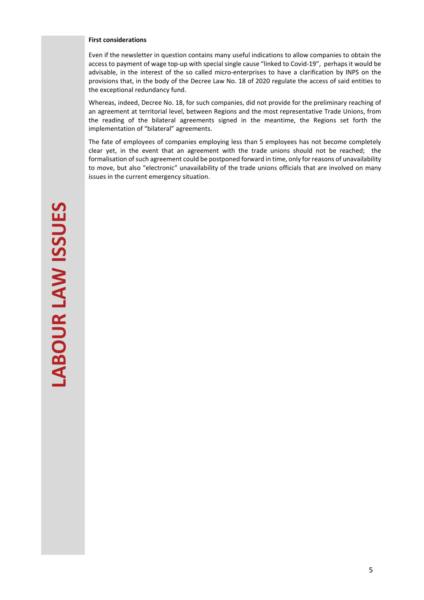#### **First considerations**

Even if the newsletter in question contains many useful indications to allow companies to obtain the access to payment of wage top-up with special single cause "linked to Covid-19", perhaps it would be advisable, in the interest of the so called micro-enterprises to have a clarification by INPS on the provisions that, in the body of the Decree Law No. 18 of 2020 regulate the access of said entities to the exceptional redundancy fund.

Whereas, indeed, Decree No. 18, for such companies, did not provide for the preliminary reaching of an agreement at territorial level, between Regions and the most representative Trade Unions, from the reading of the bilateral agreements signed in the meantime, the Regions set forth the implementation of "bilateral" agreements.

The fate of employees of companies employing less than 5 employees has not become completely clear yet, in the event that an agreement with the trade unions should not be reached; the formalisation of such agreement could be postponed forward in time, only for reasons of unavailability to move, but also "electronic" unavailability of the trade unions officials that are involved on many issues in the current emergency situation.